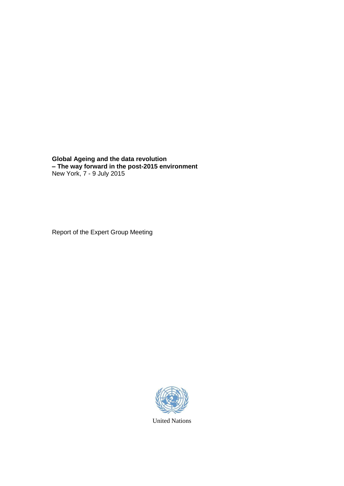**Global Ageing and the data revolution – The way forward in the post-2015 environment**  New York, 7 - 9 July 2015

Report of the Expert Group Meeting



United Nations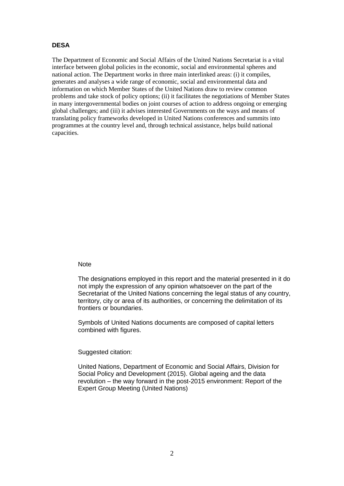## **DESA**

The Department of Economic and Social Affairs of the United Nations Secretariat is a vital interface between global policies in the economic, social and environmental spheres and national action. The Department works in three main interlinked areas: (i) it compiles, generates and analyses a wide range of economic, social and environmental data and information on which Member States of the United Nations draw to review common problems and take stock of policy options; (ii) it facilitates the negotiations of Member States in many intergovernmental bodies on joint courses of action to address ongoing or emerging global challenges; and (iii) it advises interested Governments on the ways and means of translating policy frameworks developed in United Nations conferences and summits into programmes at the country level and, through technical assistance, helps build national capacities.

#### **Note**

The designations employed in this report and the material presented in it do not imply the expression of any opinion whatsoever on the part of the Secretariat of the United Nations concerning the legal status of any country, territory, city or area of its authorities, or concerning the delimitation of its frontiers or boundaries.

Symbols of United Nations documents are composed of capital letters combined with figures.

Suggested citation:

United Nations, Department of Economic and Social Affairs, Division for Social Policy and Development (2015). Global ageing and the data revolution – the way forward in the post-2015 environment: Report of the Expert Group Meeting (United Nations)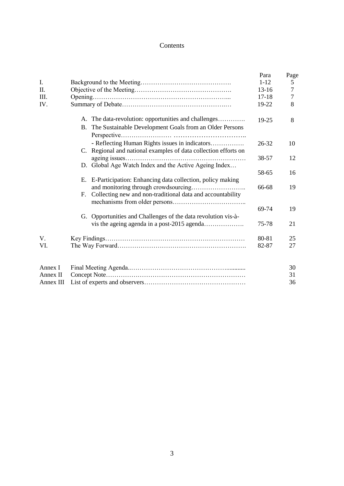# Contents

|           |                                                                                                                   | Para                 | Page           |  |
|-----------|-------------------------------------------------------------------------------------------------------------------|----------------------|----------------|--|
| I.        |                                                                                                                   | $1 - 12$             | 5              |  |
| Π.        |                                                                                                                   | $13-16$<br>$17 - 18$ | $\overline{7}$ |  |
| Ш.        |                                                                                                                   |                      | $\overline{7}$ |  |
| IV.       |                                                                                                                   | 19-22                | 8              |  |
|           | A. The data-revolution: opportunities and challenges                                                              | 19-25                | 8              |  |
|           | B. The Sustainable Development Goals from an Older Persons                                                        |                      |                |  |
|           | - Reflecting Human Rights issues in indicators<br>C. Regional and national examples of data collection efforts on | 26-32                | 10             |  |
|           |                                                                                                                   | 38-57                | 12             |  |
|           | D. Global Age Watch Index and the Active Ageing Index                                                             | 58-65                | 16             |  |
|           |                                                                                                                   |                      |                |  |
|           | E. E-Participation: Enhancing data collection, policy making                                                      | 66-68                | 19             |  |
|           | Collecting new and non-traditional data and accountability<br>$F_{\rm{r}}$                                        |                      |                |  |
|           |                                                                                                                   |                      |                |  |
|           |                                                                                                                   | 69-74                | 19             |  |
|           | G. Opportunities and Challenges of the data revolution vis-à-                                                     |                      |                |  |
|           | vis the ageing agenda in a post-2015 agenda                                                                       | 75-78                | 21             |  |
| V.        |                                                                                                                   |                      | 25             |  |
| VI.       |                                                                                                                   | 82-87                | 27             |  |
|           |                                                                                                                   |                      |                |  |
| Annex I   | 30                                                                                                                |                      |                |  |
| Annex II  |                                                                                                                   |                      |                |  |
| Annex III |                                                                                                                   |                      | 36             |  |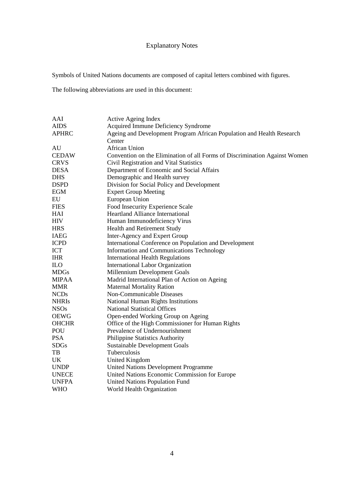# Explanatory Notes

Symbols of United Nations documents are composed of capital letters combined with figures.

The following abbreviations are used in this document:

| Active Ageing Index                                                        |
|----------------------------------------------------------------------------|
| Acquired Immune Deficiency Syndrome                                        |
| Ageing and Development Program African Population and Health Research      |
| Center                                                                     |
| <b>African Union</b>                                                       |
| Convention on the Elimination of all Forms of Discrimination Against Women |
| Civil Registration and Vital Statistics                                    |
| Department of Economic and Social Affairs                                  |
| Demographic and Health survey                                              |
| Division for Social Policy and Development                                 |
| <b>Expert Group Meeting</b>                                                |
| European Union                                                             |
| Food Insecurity Experience Scale                                           |
| <b>Heartland Alliance International</b>                                    |
| Human Immunodeficiency Virus                                               |
| Health and Retirement Study                                                |
| Inter-Agency and Expert Group                                              |
| International Conference on Population and Development                     |
| Information and Communications Technology                                  |
| <b>International Health Regulations</b>                                    |
| <b>International Labor Organization</b>                                    |
| Millennium Development Goals                                               |
| Madrid International Plan of Action on Ageing                              |
| <b>Maternal Mortality Ration</b>                                           |
| Non-Communicable Diseases                                                  |
| National Human Rights Institutions                                         |
| <b>National Statistical Offices</b>                                        |
| Open-ended Working Group on Ageing                                         |
| Office of the High Commissioner for Human Rights                           |
| Prevalence of Undernourishment                                             |
| Philippine Statistics Authority                                            |
| <b>Sustainable Development Goals</b>                                       |
| Tuberculosis                                                               |
| <b>United Kingdom</b>                                                      |
| <b>United Nations Development Programme</b>                                |
| United Nations Economic Commission for Europe                              |
| <b>United Nations Population Fund</b>                                      |
| World Health Organization                                                  |
|                                                                            |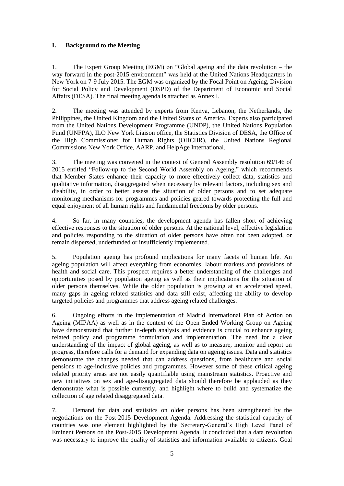## **I. Background to the Meeting**

1. The Expert Group Meeting (EGM) on "Global ageing and the data revolution – the way forward in the post-2015 environment" was held at the United Nations Headquarters in New York on 7-9 July 2015. The EGM was organized by the Focal Point on Ageing, Division for Social Policy and Development (DSPD) of the Department of Economic and Social Affairs (DESA). The final meeting agenda is attached as Annex I.

2. The meeting was attended by experts from Kenya, Lebanon, the Netherlands, the Philippines, the United Kingdom and the United States of America. Experts also participated from the United Nations Development Programme (UNDP), the United Nations Population Fund (UNFPA), ILO New York Liaison office, the Statistics Division of DESA, the Office of the High Commissioner for Human Rights (OHCHR), the United Nations Regional Commissions New York Office, AARP, and HelpAge International.

3. The meeting was convened in the context of General Assembly resolution 69/146 of 2015 entitled "Follow-up to the Second World Assembly on Ageing," which recommends that Member States enhance their capacity to more effectively collect data, statistics and qualitative information, disaggregated when necessary by relevant factors, including sex and disability, in order to better assess the situation of older persons and to set adequate monitoring mechanisms for programmes and policies geared towards protecting the full and equal enjoyment of all human rights and fundamental freedoms by older persons.

4. So far, in many countries, the development agenda has fallen short of achieving effective responses to the situation of older persons. At the national level, effective legislation and policies responding to the situation of older persons have often not been adopted, or remain dispersed, underfunded or insufficiently implemented.

5. Population ageing has profound implications for many facets of human life. An ageing population will affect everything from economies, labour markets and provisions of health and social care. This prospect requires a better understanding of the challenges and opportunities posed by population ageing as well as their implications for the situation of older persons themselves. While the older population is growing at an accelerated speed, many gaps in ageing related statistics and data still exist, affecting the ability to develop targeted policies and programmes that address ageing related challenges.

6. Ongoing efforts in the implementation of Madrid International Plan of Action on Ageing (MIPAA) as well as in the context of the Open Ended Working Group on Ageing have demonstrated that further in-depth analysis and evidence is crucial to enhance ageing related policy and programme formulation and implementation. The need for a clear understanding of the impact of global ageing, as well as to measure, monitor and report on progress, therefore calls for a demand for expanding data on ageing issues. Data and statistics demonstrate the changes needed that can address questions, from healthcare and social pensions to age-inclusive policies and programmes. However some of these critical ageing related priority areas are not easily quantifiable using mainstream statistics. Proactive and new initiatives on sex and age-disaggregated data should therefore be applauded as they demonstrate what is possible currently, and highlight where to build and systematize the collection of age related disaggregated data.

7. Demand for data and statistics on older persons has been strengthened by the negotiations on the Post-2015 Development Agenda. Addressing the statistical capacity of countries was one element highlighted by the Secretary-General's High Level Panel of Eminent Persons on the Post-2015 Development Agenda. It concluded that a data revolution was necessary to improve the quality of statistics and information available to citizens. Goal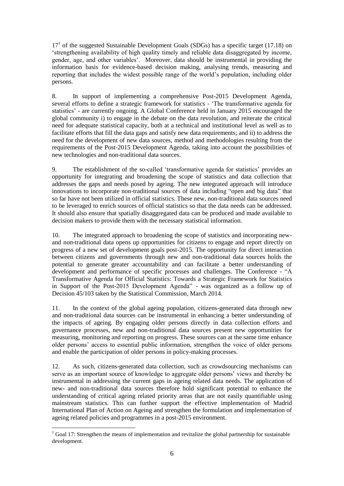17<sup>1</sup> of the suggested Sustainable Development Goals (SDGs) has a specific target (17.18) on 'strengthening availability of high quality timely and reliable data disaggregated by income, gender, age, and other variables'. Moreover, data should be instrumental in providing the information basis for evidence-based decision making, analysing trends, measuring and reporting that includes the widest possible range of the world's population, including older persons.

8. In support of implementing a comprehensive Post-2015 Development Agenda, several efforts to define a strategic framework for statistics - 'The transformative agenda for statistics' - are currently ongoing. A Global Conference held in January 2015 encouraged the global community i) to engage in the debate on the data revolution, and reiterate the critical need for adequate statistical capacity, both at a technical and institutional level as well as to facilitate efforts that fill the data gaps and satisfy new data requirements; and ii) to address the need for the development of new data sources, method and methodologies resulting from the requirements of the Post-2015 Development Agenda, taking into account the possibilities of new technologies and non-traditional data sources.

9. The establishment of the so-called 'transformative agenda for statistics' provides an opportunity for integrating and broadening the scope of statistics and data collection that addresses the gaps and needs posed by ageing. The new integrated approach will introduce innovations to incorporate non-traditional sources of data including "open and big data" that so far have not been utilized in official statistics. These new, non-traditional data sources need to be leveraged to enrich sources of official statistics so that the data needs can be addressed. It should also ensure that spatially disaggregated data can be produced and made available to decision makers to provide them with the necessary statistical information.

10. The integrated approach to broadening the scope of statistics and incorporating newand non-traditional data opens up opportunities for citizens to engage and report directly on progress of a new set of development goals post-2015. The opportunity for direct interaction between citizens and governments through new and non-traditional data sources holds the potential to generate greater accountability and can facilitate a better understanding of development and performance of specific processes and challenges. The Conference - "A Transformative Agenda for Official Statistics: Towards a Strategic Framework for Statistics in Support of the Post-2015 Development Agenda" - was organized as a follow up of Decision 45/103 taken by the Statistical Commission, March 2014.

11. In the context of the global ageing population, citizens-generated data through new and non-traditional data sources can be instrumental in enhancing a better understanding of the impacts of ageing. By engaging older persons directly in data collection efforts and governance processes, new and non-traditional data sources present new opportunities for measuring, monitoring and reporting on progress. These sources can at the same time enhance older persons' access to essential public information, strengthen the voice of older persons and enable the participation of older persons in policy-making processes.

12. As such, citizens-generated data collection, such as crowdsourcing mechanisms can serve as an important source of knowledge to aggregate older persons' views and thereby be instrumental in addressing the current gaps in ageing related data needs. The application of new- and non-traditional data sources therefore hold significant potential to enhance the understanding of critical ageing related priority areas that are not easily quantifiable using mainstream statistics. This can further support the effective implementation of Madrid International Plan of Action on Ageing and strengthen the formulation and implementation of ageing related policies and programmes in a post-2015 environment.

<sup>&</sup>lt;u>.</u> <sup>1</sup> Goal 17: Strengthen the means of implementation and revitalize the global partnership for sustainable development.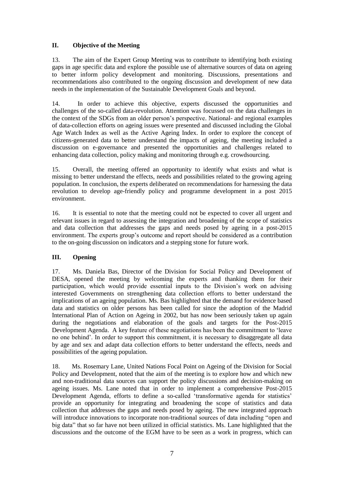## **II. Objective of the Meeting**

13. The aim of the Expert Group Meeting was to contribute to identifying both existing gaps in age specific data and explore the possible use of alternative sources of data on ageing to better inform policy development and monitoring. Discussions, presentations and recommendations also contributed to the ongoing discussion and development of new data needs in the implementation of the Sustainable Development Goals and beyond.

14. In order to achieve this objective, experts discussed the opportunities and challenges of the so-called data-revolution. Attention was focussed on the data challenges in the context of the SDGs from an older person's perspective. National- and regional examples of data-collection efforts on ageing issues were presented and discussed including the Global Age Watch Index as well as the Active Ageing Index. In order to explore the concept of citizens-generated data to better understand the impacts of ageing, the meeting included a discussion on e-governance and presented the opportunities and challenges related to enhancing data collection, policy making and monitoring through e.g. crowdsourcing.

15. Overall, the meeting offered an opportunity to identify what exists and what is missing to better understand the effects, needs and possibilities related to the growing ageing population. In conclusion, the experts deliberated on recommendations for harnessing the data revolution to develop age-friendly policy and programme development in a post 2015 environment.

16. It is essential to note that the meeting could not be expected to cover all urgent and relevant issues in regard to assessing the integration and broadening of the scope of statistics and data collection that addresses the gaps and needs posed by ageing in a post-2015 environment. The experts group's outcome and report should be considered as a contribution to the on-going discussion on indicators and a stepping stone for future work.

## **III. Opening**

17. Ms. Daniela Bas, Director of the Division for Social Policy and Development of DESA, opened the meeting by welcoming the experts and thanking them for their participation, which would provide essential inputs to the Division's work on advising interested Governments on strengthening data collection efforts to better understand the implications of an ageing population. Ms. Bas highlighted that the demand for evidence based data and statistics on older persons has been called for since the adoption of the Madrid International Plan of Action on Ageing in 2002, but has now been seriously taken up again during the negotiations and elaboration of the goals and targets for the Post-2015 Development Agenda. A key feature of these negotiations has been the commitment to 'leave no one behind'. In order to support this commitment, it is necessary to disaggregate all data by age and sex and adapt data collection efforts to better understand the effects, needs and possibilities of the ageing population.

18. Ms. Rosemary Lane, United Nations Focal Point on Ageing of the Division for Social Policy and Development, noted that the aim of the meeting is to explore how and which new and non-traditional data sources can support the policy discussions and decision-making on ageing issues. Ms. Lane noted that in order to implement a comprehensive Post-2015 Development Agenda, efforts to define a so-called 'transformative agenda for statistics' provide an opportunity for integrating and broadening the scope of statistics and data collection that addresses the gaps and needs posed by ageing. The new integrated approach will introduce innovations to incorporate non-traditional sources of data including "open and big data" that so far have not been utilized in official statistics. Ms. Lane highlighted that the discussions and the outcome of the EGM have to be seen as a work in progress, which can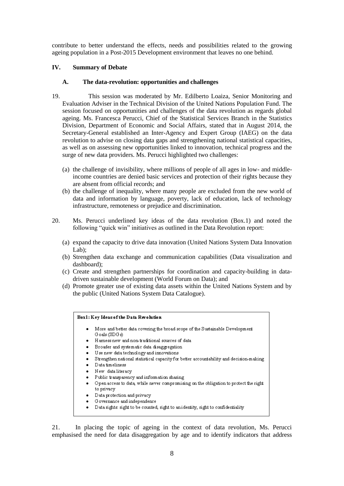contribute to better understand the effects, needs and possibilities related to the growing ageing population in a Post-2015 Development environment that leaves no one behind.

## **IV. Summary of Debate**

### **A. The data-revolution: opportunities and challenges**

- 19. This session was moderated by Mr. Edilberto Loaiza, Senior Monitoring and Evaluation Adviser in the Technical Division of the United Nations Population Fund. The session focused on opportunities and challenges of the data revolution as regards global ageing. Ms. Francesca Perucci, Chief of the Statistical Services Branch in the Statistics Division, Department of Economic and Social Affairs, stated that in August 2014, the Secretary-General established an Inter-Agency and Expert Group (IAEG) on the data revolution to advise on closing data gaps and strengthening national statistical capacities, as well as on assessing new opportunities linked to innovation, technical progress and the surge of new data providers. Ms. Perucci highlighted two challenges:
	- (a) the challenge of invisibility, where millions of people of all ages in low- and middleincome countries are denied basic services and protection of their rights because they are absent from official records; and
	- (b) the challenge of inequality, where many people are excluded from the new world of data and information by language, poverty, lack of education, lack of technology infrastructure, remoteness or prejudice and discrimination.
- 20. Ms. Perucci underlined key ideas of the data revolution (Box.1) and noted the following "quick win" initiatives as outlined in the Data Revolution report:
	- (a) expand the capacity to drive data innovation (United Nations System Data Innovation Lab);
	- (b) Strengthen data exchange and communication capabilities (Data visualization and dashboard);
	- (c) Create and strengthen partnerships for coordination and capacity-building in datadriven sustainable development (World Forum on Data); and
	- (d) Promote greater use of existing data assets within the United Nations System and by the public (United Nations System Data Catalogue).

#### Box1: Key Ideas of the Data Revolution

- More and better data covering the broad scope of the Sustainable Development Goals (SDGs)
- Harness new and non-traditional sources of data
- Broader and systematic data disaggregation
- · Use new data technology and innovations
- · Strengthen national statistical capacity for better accountability and decision-making
- Data timeliness
- New dataliteracy
- Public transparency and information sharing
- Open access to data, while never compromising on the obligation to protect the right to privacy
- Data protection and privacy
- Governance and independence
- · Data rights: right to be counted, right to an identity, right to confidentiality

21. In placing the topic of ageing in the context of data revolution, Ms. Perucci emphasised the need for data disaggregation by age and to identify indicators that address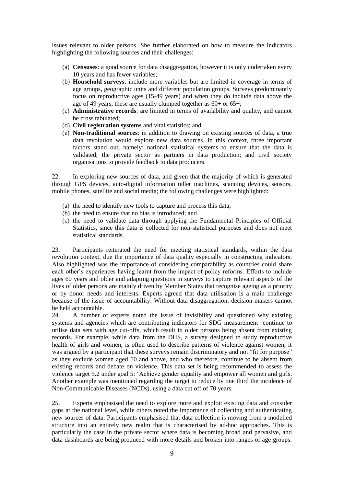issues relevant to older persons. She further elaborated on how to measure the indicators highlighting the following sources and their challenges:

- (a) **Censuses**: a good source for data disaggregation, however it is only undertaken every 10 years and has fewer variables;
- (b) **Household surveys**: include more variables but are limited in coverage in terms of age groups, geographic units and different population groups. Surveys predominantly focus on reproductive ages (15-49 years) and when they do include data above the age of 49 years, these are usually clumped together as  $60+$  or  $65+$ ;
- (c) **Administrative records**: are limited in terms of availability and quality, and cannot be cross tabulated;
- (d) **Civil registration systems** and vital statistics; and
- (e) **Non-traditional sources**: in addition to drawing on existing sources of data, a true data revolution would explore new data sources. In this context, three important factors stand out, namely: national statistical systems to ensure that the data is validated; the private sector as partners in data production; and civil society organisations to provide feedback to data producers.

22. In exploring new sources of data, and given that the majority of which is generated through GPS devices, auto-digital information teller machines, scanning devices, sensors, mobile phones, satellite and social media; the following challenges were highlighted:

- (a) the need to identify new tools to capture and process this data;
- (b) the need to ensure that no bias is introduced; and
- (c) the need to validate data through applying the Fundamental Principles of Official Statistics, since this data is collected for non-statistical purposes and does not meet statistical standards.

23. Participants reiterated the need for meeting statistical standards, within the data revolution context, due the importance of data quality especially in constructing indicators. Also highlighted was the importance of considering comparability as countries could share each other's experiences having learnt from the impact of policy reforms. Efforts to include ages 60 years and older and adapting questions in surveys to capture relevant aspects of the lives of older persons are mainly driven by Member States that recognise ageing as a priority or by donor needs and interests. Experts agreed that data utilisation is a main challenge because of the issue of accountability. Without data disaggregation, decision-makers cannot be held accountable.

24. A number of experts noted the issue of invisibility and questioned why existing systems and agencies which are contributing indicators for SDG measurement continue to utilise data sets with age cut-offs, which result in older persons being absent from existing records. For example, while data from the DHS, a survey designed to study reproductive health of girls and women, is often used to describe patterns of violence against women, it was argued by a participant that these surveys remain discriminatory and not "fit for purpose" as they exclude women aged 50 and above, and who therefore, continue to be absent from existing records and debate on violence. This data set is being recommended to assess the violence target 5.2 under goal 5: 'Achieve gender equality and empower all women and girls. Another example was mentioned regarding the target to reduce by one third the incidence of Non-Communicable Diseases (NCDs), using a data cut off of 70 years.

25. Experts emphasised the need to explore more and exploit existing data and consider gaps at the national level, while others noted the importance of collecting and authenticating new sources of data. Participants emphasised that data collection is moving from a modelled structure into an entirely new realm that is characterised by ad-hoc approaches. This is particularly the case in the private sector where data is becoming broad and pervasive, and data dashboards are being produced with more details and broken into ranges of age groups.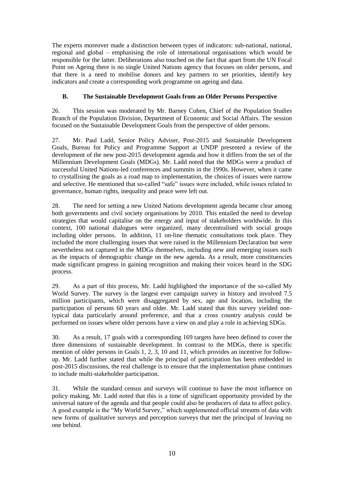The experts moreover made a distinction between types of indicators: sub-national, national, regional and global – emphasising the role of international organisations which would be responsible for the latter. Deliberations also touched on the fact that apart from the UN Focal Point on Ageing there is no single United Nations agency that focuses on older persons, and that there is a need to mobilise donors and key partners to set priorities, identify key indicators and create a corresponding work programme on ageing and data.

## **B. The Sustainable Development Goals from an Older Persons Perspective**

26. This session was moderated by Mr. Barney Cohen, Chief of the Population Studies Branch of the Population Division, Department of Economic and Social Affairs. The session focused on the Sustainable Development Goals from the perspective of older persons.

27. Mr. Paul Ladd, Senior Policy Adviser, Post-2015 and Sustainable Development Goals, Bureau for Policy and Programme Support at UNDP presented a review of the development of the new post-2015 development agenda and how it differs from the set of the Millennium Development Goals (MDGs). Mr. Ladd noted that the MDGs were a product of successful United Nations-led conferences and summits in the 1990s. However, when it came to crystallising the goals as a road map to implementation, the choices of issues were narrow and selective. He mentioned that so-called "safe" issues were included, while issues related to governance, human rights, inequality and peace were left out.

28. The need for setting a new United Nations development agenda became clear among both governments and civil society organisations by 2010. This entailed the need to develop strategies that would capitalise on the energy and input of stakeholders worldwide. In this context, 100 national dialogues were organized, many decentralised with social groups including older persons. In addition, 11 on-line thematic consultations took place. They included the more challenging issues that were raised in the Millennium Declaration but were nevertheless not captured in the MDGs themselves, including new and emerging issues such as the impacts of demographic change on the new agenda. As a result, more constituencies made significant progress in gaining recognition and making their voices heard in the SDG process.

29. As a part of this process, Mr. Ladd highlighted the importance of the so-called My World Survey. The survey is the largest ever campaign survey in history and involved 7.5 million participants, which were disaggregated by sex, age and location, including the participation of persons 60 years and older. Mr. Ladd stated that this survey yielded nontypical data particularly around preference, and that a cross country analysis could be performed on issues where older persons have a view on and play a role in achieving SDGs.

30. As a result, 17 goals with a corresponding 169 targets have been defined to cover the three dimensions of sustainable development. In contrast to the MDGs, there is specific mention of older persons in Goals 1, 2, 3, 10 and 11, which provides an incentive for followup. Mr. Ladd further stated that while the principal of participation has been embedded in post-2015 discussions, the real challenge is to ensure that the implementation phase continues to include multi-stakeholder participation.

31. While the standard census and surveys will continue to have the most influence on policy making, Mr. Ladd noted that this is a time of significant opportunity provided by the universal nature of the agenda and that people could also be producers of data to affect policy. A good example is the "My World Survey," which supplemented official streams of data with new forms of qualitative surveys and perception surveys that met the principal of leaving no one behind.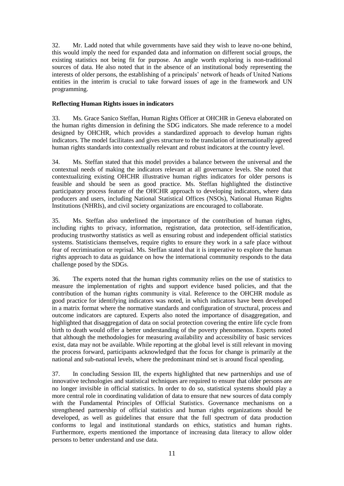32. Mr. Ladd noted that while governments have said they wish to leave no-one behind, this would imply the need for expanded data and information on different social groups, the existing statistics not being fit for purpose. An angle worth exploring is non-traditional sources of data. He also noted that in the absence of an institutional body representing the interests of older persons, the establishing of a principals' network of heads of United Nations entities in the interim is crucial to take forward issues of age in the framework and UN programming.

## **Reflecting Human Rights issues in indicators**

33. Ms. Grace Sanico Steffan, Human Rights Officer at OHCHR in Geneva elaborated on the human rights dimension in defining the SDG indicators. She made reference to a model designed by OHCHR, which provides a standardized approach to develop human rights indicators. The model facilitates and gives structure to the translation of internationally agreed human rights standards into contextually relevant and robust indicators at the country level.

34. Ms. Steffan stated that this model provides a balance between the universal and the contextual needs of making the indicators relevant at all governance levels. She noted that contextualizing existing OHCHR illustrative human rights indicators for older persons is feasible and should be seen as good practice. Ms. Steffan highlighted the distinctive participatory process feature of the OHCHR approach to developing indicators, where data producers and users, including National Statistical Offices (NSOs), National Human Rights Institutions (NHRIs), and civil society organizations are encouraged to collaborate.

35. Ms. Steffan also underlined the importance of the contribution of human rights, including rights to privacy, information, registration, data protection, self-identification, producing trustworthy statistics as well as ensuring robust and independent official statistics systems. Statisticians themselves, require rights to ensure they work in a safe place without fear of recrimination or reprisal. Ms. Steffan stated that it is imperative to explore the human rights approach to data as guidance on how the international community responds to the data challenge posed by the SDGs.

36. The experts noted that the human rights community relies on the use of statistics to measure the implementation of rights and support evidence based policies, and that the contribution of the human rights community is vital. Reference to the OHCHR module as good practice for identifying indicators was noted, in which indicators have been developed in a matrix format where the normative standards and configuration of structural, process and outcome indicators are captured. Experts also noted the importance of disaggregation, and highlighted that disaggregation of data on social protection covering the entire life cycle from birth to death would offer a better understanding of the poverty phenomenon. Experts noted that although the methodologies for measuring availability and accessibility of basic services exist, data may not be available. While reporting at the global level is still relevant in moving the process forward, participants acknowledged that the focus for change is primarily at the national and sub-national levels, where the predominant mind set is around fiscal spending.

37. In concluding Session III, the experts highlighted that new partnerships and use of innovative technologies and statistical techniques are required to ensure that older persons are no longer invisible in official statistics. In order to do so, statistical systems should play a more central role in coordinating validation of data to ensure that new sources of data comply with the Fundamental Principles of Official Statistics. Governance mechanisms on a strengthened partnership of official statistics and human rights organizations should be developed, as well as guidelines that ensure that the full spectrum of data production conforms to legal and institutional standards on ethics, statistics and human rights. Furthermore, experts mentioned the importance of increasing data literacy to allow older persons to better understand and use data.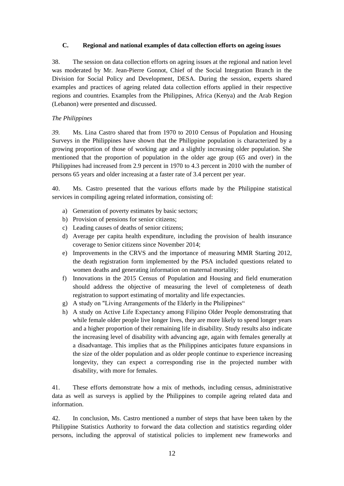## **C. Regional and national examples of data collection efforts on ageing issues**

38. The session on data collection efforts on ageing issues at the regional and nation level was moderated by Mr. Jean-Pierre Gonnot, Chief of the Social Integration Branch in the Division for Social Policy and Development, DESA. During the session, experts shared examples and practices of ageing related data collection efforts applied in their respective regions and countries. Examples from the Philippines, Africa (Kenya) and the Arab Region (Lebanon) were presented and discussed.

## *The Philippines*

*39.* Ms. Lina Castro shared that from 1970 to 2010 Census of Population and Housing Surveys in the Philippines have shown that the Philippine population is characterized by a growing proportion of those of working age and a slightly increasing older population. She mentioned that the proportion of population in the older age group (65 and over) in the Philippines had increased from 2.9 percent in 1970 to 4.3 percent in 2010 with the number of persons 65 years and older increasing at a faster rate of 3.4 percent per year.

40. Ms. Castro presented that the various efforts made by the Philippine statistical services in compiling ageing related information, consisting of:

- a) Generation of poverty estimates by basic sectors;
- b) Provision of pensions for senior citizens;
- c) Leading causes of deaths of senior citizens;
- d) Average per capita health expenditure, including the provision of health insurance coverage to Senior citizens since November 2014;
- e) Improvements in the CRVS and the importance of measuring MMR Starting 2012, the death registration form implemented by the PSA included questions related to women deaths and generating information on maternal mortality;
- f) Innovations in the 2015 Census of Population and Housing and field enumeration should address the objective of measuring the level of completeness of death registration to support estimating of mortality and life expectancies.
- g) A study on "Living Arrangements of the Elderly in the Philippines"
- h) A study on Active Life Expectancy among Filipino Older People demonstrating that while female older people live longer lives, they are more likely to spend longer years and a higher proportion of their remaining life in disability. Study results also indicate the increasing level of disability with advancing age, again with females generally at a disadvantage. This implies that as the Philippines anticipates future expansions in the size of the older population and as older people continue to experience increasing longevity, they can expect a corresponding rise in the projected number with disability, with more for females.

41. These efforts demonstrate how a mix of methods, including census, administrative data as well as surveys is applied by the Philippines to compile ageing related data and information.

42. In conclusion, Ms. Castro mentioned a number of steps that have been taken by the Philippine Statistics Authority to forward the data collection and statistics regarding older persons, including the approval of statistical policies to implement new frameworks and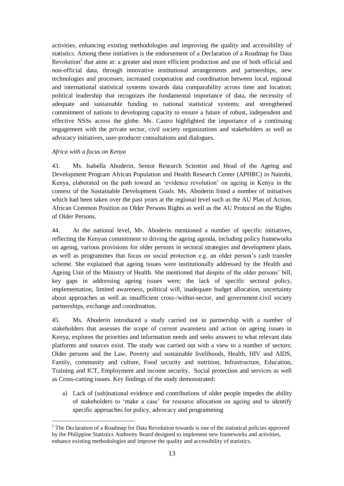activities, enhancing existing methodologies and improving the quality and accessibility of statistics. Among these initiatives is the endorsement of a Declaration of a Roadmap for Data Revolution<sup>2</sup> that aims at: a greater and more efficient production and use of both official and non-official data, through innovative institutional arrangements and partnerships, new technologies and processes; increased cooperation and coordination between local, regional and international statistical systems towards data comparability across time and location; political leadership that recognizes the fundamental importance of data, the necessity of adequate and sustainable funding to national statistical systems; and strengthened commitment of nations to developing capacity to ensure a future of robust, independent and effective NSSs across the globe. Ms. Castro highlighted the importance of a continuing engagement with the private sector, civil society organizations and stakeholders as well as advocacy initiatives, user-producer consultations and dialogues.

## *Africa with a focus on Kenya*

<u>.</u>

43. Ms. Isabella Aboderin, Senior Research Scientist and Head of the Ageing and Development Program African Population and Health Research Center (APHRC) in Nairobi, Kenya, elaborated on the path toward an 'evidence revolution' on ageing in Kenya in the context of the Sustainable Development Goals. Ms. Aboderin listed a number of initiatives which had been taken over the past years at the regional level such as the AU Plan of Action, African Common Position on Older Persons Rights as well as the AU Protocol on the Rights of Older Persons.

44. At the national level, Ms. Aboderin mentioned a number of specific initiatives, reflecting the Kenyan commitment to driving the ageing agenda, including policy frameworks on ageing, various provisions for older persons in sectoral strategies and development plans, as well as programmes that focus on social protection e.g. an older person's cash transfer scheme. She explained that ageing issues were institutionally addressed by the Health and Ageing Unit of the Ministry of Health. She mentioned that despite of the older persons' bill, key gaps in addressing ageing issues were; the lack of specific sectoral policy, implementation, limited awareness, political will, inadequate budget allocation, uncertainty about approaches as well as insufficient cross-/within-sector, and government-civil society partnerships, exchange and coordination.

45. Ms. Aboderin introduced a study carried out in partnership with a number of stakeholders that assesses the scope of current awareness and action on ageing issues in Kenya, explores the priorities and information needs and seeks answers to what relevant data platforms and sources exist. The study was carried out with a view to a number of sectors; Older persons and the Law, Poverty and sustainable livelihoods, Health, HIV and AIDS, Family, community and culture, Food security and nutrition, Infrastructure, Education, Training and ICT, Employment and income security, Social protection and services as well as Cross-cutting issues. Key findings of the study demonstrated:

a) Lack of (sub)national evidence and contributions of older people impedes the ability of stakeholders to 'make a case' for resource allocation on ageing and to identify specific approaches for policy, advocacy and programming

 $2$  The Declaration of a Roadmap for Data Revolution towards is one of the statistical policies approved by the Philippine Statistics Authority Board designed to implement new frameworks and activities, enhance existing methodologies and improve the quality and accessibility of statistics.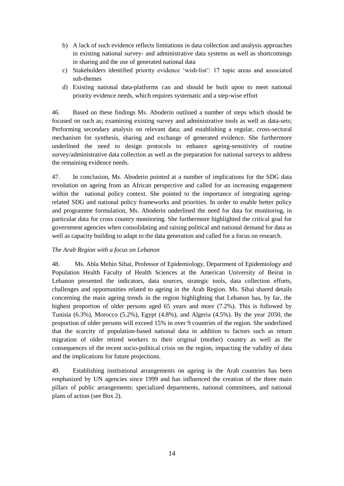- b) A lack of such evidence reflects limitations in data collection and analysis approaches in existing national survey- and administrative data systems as well as shortcomings in sharing and the use of generated national data
- c) Stakeholders identified priority evidence 'wish-list': 17 topic areas and associated sub-themes
- d) Existing national data-platforms can and should be built upon to meet national priority evidence needs, which requires systematic and a step-wise effort

46. Based on these findings Ms. Aboderin outlined a number of steps which should be focused on such as; examining existing survey and administrative tools as well as data-sets; Performing secondary analysis on relevant data; and establishing a regular, cross-sectoral mechanism for synthesis, sharing and exchange of generated evidence. She furthermore underlined the need to design protocols to enhance ageing-sensitivity of routine survey/administrative data collection as well as the preparation for national surveys to address the remaining evidence needs.

47. In conclusion, Ms. Aboderin pointed at a number of implications for the SDG data revolution on ageing from an African perspective and called for an increasing engagement within the national policy context. She pointed to the importance of integrating ageingrelated SDG and national policy frameworks and priorities. In order to enable better policy and programme formulation, Ms. Aboderin underlined the need for data for monitoring, in particular data for cross country monitoring. She furthermore highlighted the critical goal for government agencies when consolidating and raising political and national demand for data as well as capacity building to adapt to the data generation and called for a focus on research.

## *The Arab Region with a focus on Lebanon*

48. Ms. Abla Mehio Sibai, Professor of Epidemiology, Department of Epidemiology and Population Health Faculty of Health Sciences at the American University of Beirut in Lebanon presented the indicators, data sources, strategic tools, data collection efforts, challenges and opportunities related to ageing in the Arab Region. Ms. Sibai shared details concerning the main ageing trends in the region highlighting that Lebanon has, by far, the highest proportion of older persons aged 65 years and more (7.2%). This is followed by Tunisia  $(6.3\%)$ , Morocco  $(5.2\%)$ , Egypt  $(4.8\%)$ , and Algeria  $(4.5\%)$ . By the year 2050, the proportion of older persons will exceed 15% in over 9 countries of the region. She underlined that the scarcity of population-based national data in addition to factors such as return migration of older retired workers to their original (mother) country as well as the consequences of the recent socio-political crisis on the region, impacting the validity of data and the implications for future projections.

49. Establishing institutional arrangements on ageing in the Arab countries has been emphasized by UN agencies since 1999 and has influenced the creation of the three main pillars of public arrangements: specialized departments, national committees, and national plans of action (see Box 2).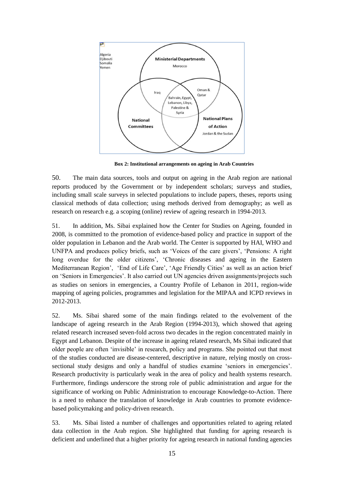

 **Box 2: Institutional arrangements on ageing in Arab Countries**

50. The main data sources, tools and output on ageing in the Arab region are national reports produced by the Government or by independent scholars; surveys and studies, including small scale surveys in selected populations to include papers, theses, reports using classical methods of data collection; using methods derived from demography; as well as research on research e.g. a scoping (online) review of ageing research in 1994-2013.

51. In addition, Ms. Sibai explained how the Center for Studies on Ageing, founded in 2008, is committed to the promotion of evidence-based policy and practice in support of the older population in Lebanon and the Arab world. The Center is supported by HAI, WHO and UNFPA and produces policy briefs, such as 'Voices of the care givers', 'Pensions: A right long overdue for the older citizens', 'Chronic diseases and ageing in the Eastern Mediterranean Region', 'End of Life Care', 'Age Friendly Cities' as well as an action brief on 'Seniors in Emergencies'. It also carried out UN agencies driven assignments/projects such as studies on seniors in emergencies, a Country Profile of Lebanon in 2011, region-wide mapping of ageing policies, programmes and legislation for the MIPAA and ICPD reviews in 2012-2013.

52. Ms. Sibai shared some of the main findings related to the evolvement of the landscape of ageing research in the Arab Region (1994-2013), which showed that ageing related research increased seven-fold across two decades in the region concentrated mainly in Egypt and Lebanon. Despite of the increase in ageing related research, Ms Sibai indicated that older people are often 'invisible' in research, policy and programs. She pointed out that most of the studies conducted are disease-centered, descriptive in nature, relying mostly on crosssectional study designs and only a handful of studies examine 'seniors in emergencies'. Research productivity is particularly weak in the area of policy and health systems research. Furthermore, findings underscore the strong role of public administration and argue for the significance of working on Public Administration to encourage Knowledge-to-Action. There is a need to enhance the translation of knowledge in Arab countries to promote evidencebased policymaking and policy-driven research.

53. Ms. Sibai listed a number of challenges and opportunities related to ageing related data collection in the Arab region. She highlighted that funding for ageing research is deficient and underlined that a higher priority for ageing research in national funding agencies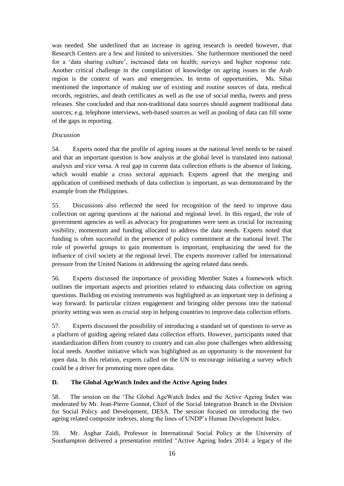was needed. She underlined that an increase in ageing research is needed however, that Research Centers are a few and limited to universities. She furthermore mentioned the need for a 'data sharing culture', increased data on health; surveys and higher response rate. Another critical challenge in the compilation of knowledge on ageing issues in the Arab region is the context of wars and emergencies. In terms of opportunities, Ms. Sibai mentioned the importance of making use of existing and routine sources of data, medical records, registries, and death certificates as well as the use of social media, tweets and press releases. She concluded and that non-traditional data sources should augment traditional data sources; e.g. telephone interviews, web-based sources as well as pooling of data can fill some of the gaps in reporting.

## *Discussion*

54. Experts noted that the profile of ageing issues at the national level needs to be raised and that an important question is how analysis at the global level is translated into national analysis and vice versa. A real gap in current data collection efforts is the absence of linking, which would enable a cross sectoral approach. Experts agreed that the merging and application of combined methods of data collection is important, as was demonstrated by the example from the Philippines.

55. Discussions also reflected the need for recognition of the need to improve data collection on ageing questions at the national and regional level. In this regard, the role of government agencies as well as advocacy for programmes were seen as crucial for increasing visibility, momentum and funding allocated to address the data needs. Experts noted that funding is often successful in the presence of policy commitment at the national level. The role of powerful groups to gain momentum is important, emphasizing the need for the influence of civil society at the regional level. The experts moreover called for international pressure from the United Nations in addressing the ageing related data needs.

56. Experts discussed the importance of providing Member States a framework which outlines the important aspects and priorities related to enhancing data collection on ageing questions. Building on existing instruments was highlighted as an important step in defining a way forward. In particular citizen engagement and bringing older persons into the national priority setting was seen as crucial step in helping countries to improve data collection efforts.

57. Experts discussed the possibility of introducing a standard set of questions to serve as a platform of guiding ageing related data collection efforts. However, participants noted that standardization differs from country to country and can also pose challenges when addressing local needs. Another initiative which was highlighted as an opportunity is the movement for open data. In this relation, experts called on the UN to encourage initiating a survey which could be a driver for promoting more open data.

## **D. The Global AgeWatch Index and the Active Ageing Index**

58. The session on the 'The Global AgeWatch Index and the Active Ageing Index was moderated by Mr. Jean-Pierre Gonnot, Chief of the Social Integration Branch in the Division for Social Policy and Development, DESA. The session focused on introducing the two ageing related composite indexes, along the lines of UNDP's Human Development Index.

59. Mr. Asghar Zaidi, Professor in International Social Policy at the University of Southampton delivered a presentation entitled "Active Ageing Index 2014: a legacy of the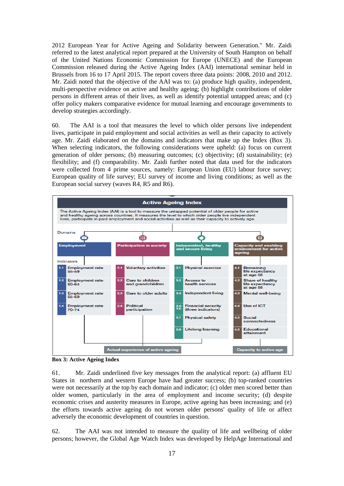2012 European Year for Active Ageing and Solidarity between Generation." Mr. Zaidi referred to the latest analytical report prepared at the University of South Hampton on behalf of the United Nations Economic Commission for Europe (UNECE) and the European Commission released during the Active Ageing Index (AAI) international seminar held in Brussels from 16 to 17 April 2015. The report covers three data points: 2008, 2010 and 2012. Mr. Zaidi noted that the objective of the AAI was to: (a) produce high quality, independent, multi-perspective evidence on active and healthy ageing; (b) highlight contributions of older persons in different areas of their lives, as well as identify potential untapped areas; and (c) offer policy makers comparative evidence for mutual learning and encourage governments to develop strategies accordingly.

60. The AAI is a tool that measures the level to which older persons live independent lives, participate in paid employment and social activities as well as their capacity to actively age. Mr. Zaidi elaborated on the domains and indicators that make up the Index (Box 3). When selecting indicators, the following considerations were upheld: (a) focus on current generation of older persons; (b) measuring outcomes; (c) objectivity; (d) sustainability; (e) flexibility; and (f) comparability. Mr. Zaidi further noted that data used for the indicators were collected from 4 prime sources, namely: European Union (EU) labour force survey; European quality of life survey; EU survey of income and living conditions; as well as the European social survey (waves R4, R5 and R6).



**Box 3: Active Ageing Index**

61. Mr. Zaidi underlined five key messages from the analytical report: (a) affluent EU States in northern and western Europe have had greater success; (b) top-ranked countries were not necessarily at the top by each domain and indicator; (c) older men scored better than older women, particularly in the area of employment and income security; (d) despite economic crises and austerity measures in Europe, active ageing has been increasing; and (e) the efforts towards active ageing do not worsen older persons' quality of life or affect adversely the economic development of countries in question.

62. The AAI was not intended to measure the quality of life and wellbeing of older persons; however, the Global Age Watch Index was developed by HelpAge International and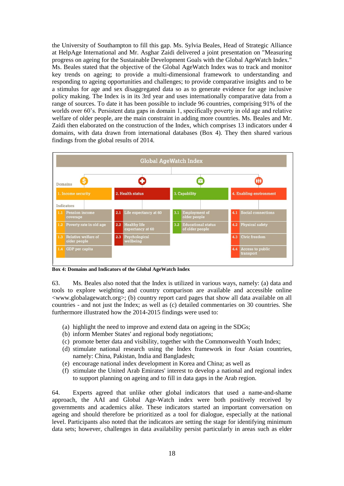the University of Southampton to fill this gap. Ms. Sylvia Beales, Head of Strategic Alliance at HelpAge International and Mr. Asghar Zaidi delivered a joint presentation on "Measuring progress on ageing for the Sustainable Development Goals with the Global AgeWatch Index." Ms. Beales stated that the objective of the Global AgeWatch Index was to track and monitor key trends on ageing; to provide a multi-dimensional framework to understanding and responding to ageing opportunities and challenges; to provide comparative insights and to be a stimulus for age and sex disaggregated data so as to generate evidence for age inclusive policy making. The Index is in its 3rd year and uses internationally comparative data from a range of sources. To date it has been possible to include 96 countries, comprising 91% of the worlds over 60's. Persistent data gaps in domain 1, specifically poverty in old age and relative welfare of older people, are the main constraint in adding more countries. Ms. Beales and Mr. Zaidi then elaborated on the construction of the Index, which comprises 13 indicators under 4 domains, with data drawn from international databases (Box 4). They then shared various findings from the global results of 2014.



**Box 4: Domains and Indicators of the Global AgeWatch Index** 

63. Ms. Beales also noted that the Index is utilized in various ways, namely: (a) data and tools to explore weighting and country comparison are available and accessible online <www.globalagewatch.org>; (b) country report card pages that show all data available on all countries - and not just the Index; as well as (c) detailed commentaries on 30 countries. She furthermore illustrated how the 2014-2015 findings were used to:

- (a) highlight the need to improve and extend data on ageing in the SDGs;
- (b) inform Member States' and regional body negotiations;
- (c) promote better data and visibility, together with the Commonwealth Youth Index;
- (d) stimulate national research using the Index framework in four Asian countries, namely: China, Pakistan, India and Bangladesh;
- (e) encourage national index development in Korea and China; as well as
- (f) stimulate the United Arab Emirates' interest to develop a national and regional index to support planning on ageing and to fill in data gaps in the Arab region.

64. Experts agreed that unlike other global indicators that used a name-and-shame approach, the AAI and Global Age-Watch index were both positively received by governments and academics alike. These indicators started an important conversation on ageing and should therefore be prioritized as a tool for dialogue, especially at the national level. Participants also noted that the indicators are setting the stage for identifying minimum data sets; however, challenges in data availability persist particularly in areas such as elder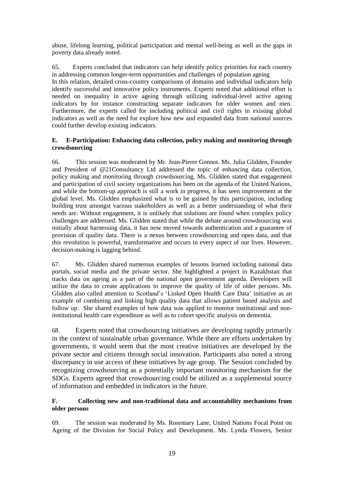abuse, lifelong learning, political participation and mental well-being as well as the gaps in poverty data already noted.

65. Experts concluded that indicators can help identify policy priorities for each country in addressing common longer-term opportunities and challenges of population ageing In this relation, detailed cross-country comparisons of domains and individual indicators help identify successful and innovative policy instruments. Experts noted that additional effort is needed on inequality in active ageing through utilizing individual-level active ageing indicators by for instance constructing separate indicators for older women and men. Furthermore, the experts called for including political and civil rights in existing global indicators as well as the need for explore how new and expanded data from national sources could further develop existing indicators.

## **E. E-Participation: Enhancing data collection, policy making and monitoring through crowdsourcing**

66. This session was moderated by Mr. Jean-Pierre Gonnot. Ms. Julia Glidden, Founder and President of @21Consultancy Ltd addressed the topic of enhancing data collection, policy making and monitoring through crowdsourcing. Ms. Glidden stated that engagement and participation of civil society organizations has been on the agenda of the United Nations, and while the bottom-up approach is still a work in progress, it has seen improvement at the global level. Ms. Glidden emphasized what is to be gained by this participation, including building trust amongst various stakeholders as well as a better understanding of what their needs are. Without engagement, it is unlikely that solutions are found when complex policy challenges are addressed. Ms. Glidden stated that while the debate around crowdsourcing was initially about harnessing data, it has now moved towards authentication and a guarantee of provision of quality data. There is a nexus between crowdsourcing and open data, and that this revolution is powerful, transformative and occurs in every aspect of our lives. However, decision-making is lagging behind.

67. Ms. Glidden shared numerous examples of lessons learned including national data portals, social media and the private sector. She highlighted a project in Kazakhstan that tracks data on ageing as a part of the national open government agenda. Developers will utilize the data to create applications to improve the quality of life of older persons. Ms. Glidden also called attention to Scotland's 'Linked Open Health Care Data' initiative as an example of combining and linking high quality data that allows patient based analysis and follow up. She shared examples of how data was applied to monitor institutional and noninstitutional health care expenditure as well as to cohort specific analysis on dementia.

68. Experts noted that crowdsourcing initiatives are developing rapidly primarily in the context of sustainable urban governance. While there are efforts undertaken by governments, it would seem that the most creative initiatives are developed by the private sector and citizens through social innovation. Participants also noted a strong discrepancy in use access of these initiatives by age group. The Session concluded by recognizing crowdsourcing as a potentially important monitoring mechanism for the SDGs. Experts agreed that crowdsourcing could be utilized as a supplemental source of information and embedded in indicators in the future.

## **F. Collecting new and non-traditional data and accountability mechanisms from older persons**

69. The session was moderated by Ms. Rosemary Lane, United Nations Focal Point on Ageing of the Division for Social Policy and Development. Ms. Lynda Flowers, Senior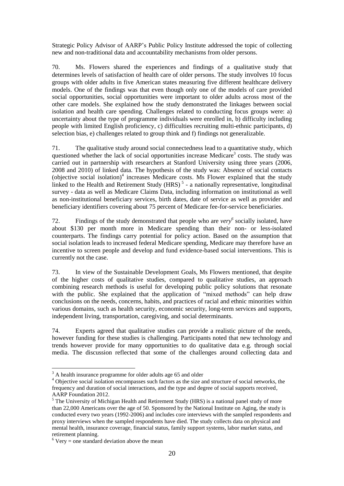Strategic Policy Advisor of AARP's Public Policy Institute addressed the topic of collecting new and non-traditional data and accountability mechanisms from older persons.

70. Ms. Flowers shared the experiences and findings of a qualitative study that determines levels of satisfaction of health care of older persons. The study involves 10 focus groups with older adults in five American states measuring five different healthcare delivery models. One of the findings was that even though only one of the models of care provided social opportunities, social opportunities were important to older adults across most of the other care models. She explained how the study demonstrated the linkages between social isolation and health care spending. Challenges related to conducting focus groups were: a) uncertainty about the type of programme individuals were enrolled in, b) difficulty including people with limited English proficiency, c) difficulties recruiting multi-ethnic participants, d) selection bias, e) challenges related to group think and f) findings not generalizable.

71. The qualitative study around social connectedness lead to a quantitative study, which questioned whether the lack of social opportunities increase Medicare<sup>3</sup> costs. The study was carried out in partnership with researchers at Stanford University using three years (2006, 2008 and 2010) of linked data. The hypothesis of the study was: Absence of social contacts (objective social isolation)<sup>4</sup> increases Medicare costs. Ms Flower explained that the study linked to the Health and Retirement Study  $(HRS)^{5}$  - a nationally representative, longitudinal survey - data as well as Medicare Claims Data, including information on institutional as well as non-institutional beneficiary services, birth dates, date of service as well as provider and beneficiary identifiers covering about 75 percent of Medicare fee-for-service beneficiaries.

72. Findings of the study demonstrated that people who are *very 6* socially isolated, have about \$130 per month more in Medicare spending than their non- or less-isolated counterparts. The findings carry potential for policy action. Based on the assumption that social isolation leads to increased federal Medicare spending, Medicare may therefore have an incentive to screen people and develop and fund evidence-based social interventions. This is currently not the case.

73. In view of the Sustainable Development Goals, Ms Flowers mentioned, that despite of the higher costs of qualitative studies, compared to qualitative studies, an approach combining research methods is useful for developing public policy solutions that resonate with the public. She explained that the application of "mixed methods" can help draw conclusions on the needs, concerns, habits, and practices of racial and ethnic minorities within various domains, such as health security, economic security, long-term services and supports, independent living, transportation, caregiving, and social determinants.

74. Experts agreed that qualitative studies can provide a realistic picture of the needs, however funding for these studies is challenging. Participants noted that new technology and trends however provide for many opportunities to do qualitative data e.g. through social media. The discussion reflected that some of the challenges around collecting data and

<u>.</u>

<sup>&</sup>lt;sup>3</sup> A health insurance programme for older adults age 65 and older

<sup>4</sup> Objective social isolation encompasses such factors as the size and structure of social networks, the frequency and duration of social interactions, and the type and degree of social supports received, AARP Foundation 2012.

<sup>&</sup>lt;sup>5</sup> The University of Michigan Health and Retirement Study (HRS) is a national panel study of more than 22,000 Americans over the age of 50. Sponsored by the National Institute on Aging, the study is conducted every two years (1992-2006) and includes core interviews with the sampled respondents and proxy interviews when the sampled respondents have died. The study collects data on physical and mental health, insurance coverage, financial status, family support systems, labor market status, and retirement planning.

 $6$  Very = one standard deviation above the mean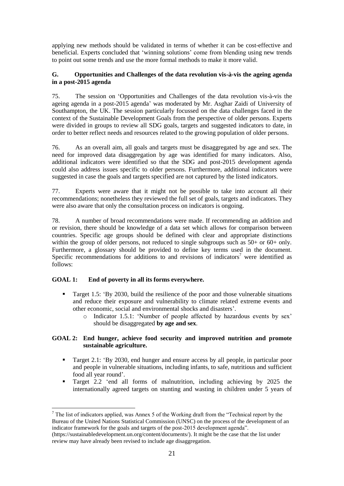applying new methods should be validated in terms of whether it can be cost-effective and beneficial. Experts concluded that 'winning solutions' come from blending using new trends to point out some trends and use the more formal methods to make it more valid.

## **G. Opportunities and Challenges of the data revolution vis-à-vis the ageing agenda in a post-2015 agenda**

75. The session on 'Opportunities and Challenges of the data revolution vis-à-vis the ageing agenda in a post-2015 agenda' was moderated by Mr. Asghar Zaidi of University of Southampton, the UK. The session particularly focussed on the data challenges faced in the context of the Sustainable Development Goals from the perspective of older persons. Experts were divided in groups to review all SDG goals, targets and suggested indicators to date, in order to better reflect needs and resources related to the growing population of older persons.

76. As an overall aim, all goals and targets must be disaggregated by age and sex. The need for improved data disaggregation by age was identified for many indicators. Also, additional indicators were identified so that the SDG and post-2015 development agenda could also address issues specific to older persons. Furthermore, additional indicators were suggested in case the goals and targets specified are not captured by the listed indicators.

77. Experts were aware that it might not be possible to take into account all their recommendations; nonetheless they reviewed the full set of goals, targets and indicators. They were also aware that only the consultation process on indicators is ongoing.

78. A number of broad recommendations were made. If recommending an addition and or revision, there should be knowledge of a data set which allows for comparison between countries. Specific age groups should be defined with clear and appropriate distinctions within the group of older persons, not reduced to single subgroups such as  $50+$  or  $60+$  only. Furthermore, a glossary should be provided to define key terms used in the document. Specific recommendations for additions to and revisions of indicators<sup>7</sup> were identified as follows:

## **GOAL 1: End of poverty in all its forms everywhere.**

<u>.</u>

- Target 1.5: 'By 2030, build the resilience of the poor and those vulnerable situations and reduce their exposure and vulnerability to climate related extreme events and other economic, social and environmental shocks and disasters'.
	- o Indicator 1.5.1: 'Number of people affected by hazardous events by sex' should be disaggregated **by age and sex**.

## **GOAL 2: End hunger, achieve food security and improved nutrition and promote sustainable agriculture.**

- Target 2.1: 'By 2030, end hunger and ensure access by all people, in particular poor and people in vulnerable situations, including infants, to safe, nutritious and sufficient food all year round'.
- Target 2.2 'end all forms of malnutrition, including achieving by 2025 the internationally agreed targets on stunting and wasting in children under 5 years of

 $<sup>7</sup>$  The list of indicators applied, was Annex 5 of the Working draft from the "Technical report by the</sup> Bureau of the United Nations Statistical Commission (UNSC) on the process of the development of an indicator framework for the goals and targets of the post-2015 development agenda".

<sup>(</sup>https://sustainabledevelopment.un.org/content/documents/). It might be the case that the list under review may have already been revised to include age disaggregation.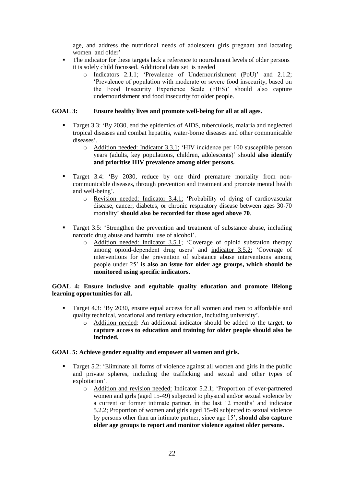age, and address the nutritional needs of adolescent girls pregnant and lactating women and older'

- The indicator for these targets lack a reference to nourishment levels of older persons it is solely child focussed. Additional data set is needed
	- o Indicators 2.1.1; 'Prevalence of Undernourishment (PoU)' and 2.1.2; 'Prevalence of population with moderate or severe food insecurity, based on the Food Insecurity Experience Scale (FIES)' should also capture undernourishment and food insecurity for older people.

## **GOAL 3: Ensure healthy lives and promote well-being for all at all ages.**

- Target 3.3: 'By 2030, end the epidemics of AIDS, tuberculosis, malaria and neglected tropical diseases and combat hepatitis, water-borne diseases and other communicable diseases'.
	- o Addition needed: Indicator 3.3.1; 'HIV incidence per 100 susceptible person years (adults, key populations, children, adolescents)' should **also identify and prioritise HIV prevalence among older persons.**
- Target 3.4: 'By 2030, reduce by one third premature mortality from noncommunicable diseases, through prevention and treatment and promote mental health and well-being'.
	- o Revision needed: Indicator 3.4.1; 'Probability of dying of cardiovascular disease, cancer, diabetes, or chronic respiratory disease between ages 30-70 mortality' **should also be recorded for those aged above 70**.
- Target 3.5: 'Strengthen the prevention and treatment of substance abuse, including narcotic drug abuse and harmful use of alcohol'.
	- o Addition needed: Indicator 3.5.1; 'Coverage of opioid substation therapy among opioid-dependent drug users' and indicator 3.5.2; 'Coverage of interventions for the prevention of substance abuse interventions among people under 25' **is also an issue for older age groups, which should be monitored using specific indicators.**

## **GOAL 4: Ensure inclusive and equitable quality education and promote lifelong learning opportunities for all.**

- Target 4.3: 'By 2030, ensure equal access for all women and men to affordable and quality technical, vocational and tertiary education, including university'.
	- o Addition needed: An additional indicator should be added to the target, **to capture access to education and training for older people should also be included.**

### **GOAL 5: Achieve gender equality and empower all women and girls.**

- Target 5.2: 'Eliminate all forms of violence against all women and girls in the public and private spheres, including the trafficking and sexual and other types of exploitation'.
	- o Addition and revision needed: Indicator 5.2.1; 'Proportion of ever-partnered women and girls (aged 15-49) subjected to physical and/or sexual violence by a current or former intimate partner, in the last 12 months' and indicator 5.2.2; Proportion of women and girls aged 15-49 subjected to sexual violence by persons other than an intimate partner, since age 15', **should also capture older age groups to report and monitor violence against older persons.**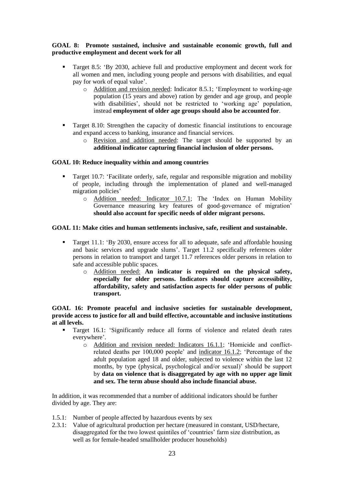#### **GOAL 8: Promote sustained, inclusive and sustainable economic growth, full and productive employment and decent work for all**

- Target 8.5: 'By 2030, achieve full and productive employment and decent work for all women and men, including young people and persons with disabilities, and equal pay for work of equal value'.
	- o Addition and revision needed: Indicator 8.5.1; 'Employment to working-age population (15 years and above) ration by gender and age group, and people with disabilities', should not be restricted to 'working age' population, instead **employment of older age groups should also be accounted for**.
- Target 8.10: Strengthen the capacity of domestic financial institutions to encourage and expand access to banking, insurance and financial services.
	- o Revision and addition needed: The target should be supported by an **additional indicator capturing financial inclusion of older persons.**

### **GOAL 10: Reduce inequality within and among countries**

- Target 10.7: 'Facilitate orderly, safe, regular and responsible migration and mobility of people, including through the implementation of planed and well-managed migration policies'
	- o Addition needed: Indicator 10.7.1; The 'Index on Human Mobility Governance measuring key features of good-governance of migration' **should also account for specific needs of older migrant persons.**

#### **GOAL 11: Make cities and human settlements inclusive, safe, resilient and sustainable.**

- Target 11.1: 'By 2030, ensure access for all to adequate, safe and affordable housing and basic services and upgrade slums'. Target 11.2 specifically references older persons in relation to transport and target 11.7 references older persons in relation to safe and accessible public spaces.
	- o Addition needed: **An indicator is required on the physical safety, especially for older persons. Indicators should capture accessibility, affordability, safety and satisfaction aspects for older persons of public transport.**

**GOAL 16: Promote peaceful and inclusive societies for sustainable development, provide access to justice for all and build effective, accountable and inclusive institutions at all levels.**

- Target 16.1: 'Significantly reduce all forms of violence and related death rates everywhere'.
	- o Addition and revision needed: Indicators 16.1.1; 'Homicide and conflictrelated deaths per 100,000 people' and indicator 16.1.2; 'Percentage of the adult population aged 18 and older, subjected to violence within the last 12 months, by type (physical, psychological and/or sexual)' should be support by **data on violence that is disaggregated by age with no upper age limit and sex. The term abuse should also include financial abuse.**

In addition, it was recommended that a number of additional indicators should be further divided by age. They are:

- 1.5.1: Number of people affected by hazardous events by sex
- 2.3.1: Value of agricultural production per hectare (measured in constant, USD/hectare, disaggregated for the two lowest quintiles of 'countries' farm size distribution, as well as for female-headed smallholder producer households)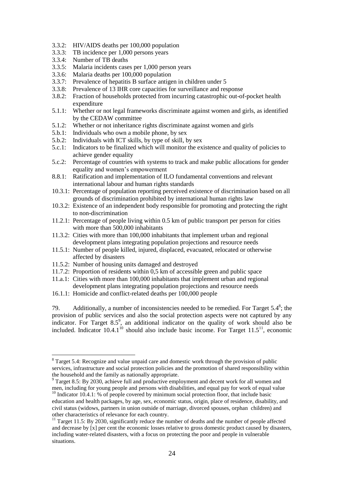- 3.3.2: HIV/AIDS deaths per 100,000 population
- 3.3.3: TB incidence per 1,000 persons years
- 3.3.4: Number of TB deaths
- 3.3.5: Malaria incidents cases per 1,000 person years
- 3.3.6: Malaria deaths per 100,000 population
- 3.3.7: Prevalence of hepatitis B surface antigen in children under 5
- 3.3.8: Prevalence of 13 IHR core capacities for surveillance and response
- 3.8.2: Fraction of households protected from incurring catastrophic out-of-pocket health expenditure
- 5.1.1: Whether or not legal frameworks discriminate against women and girls, as identified by the CEDAW committee
- 5.1.2: Whether or not inheritance rights discriminate against women and girls
- 5.b.1: Individuals who own a mobile phone, by sex
- 5.b.2: Individuals with ICT skills, by type of skill, by sex
- 5.c.1: Indicators to be finalized which will monitor the existence and quality of policies to achieve gender equality
- 5.c.2: Percentage of countries with systems to track and make public allocations for gender equality and women's empowerment
- 8.8.1: Ratification and implementation of ILO fundamental conventions and relevant international labour and human rights standards
- 10.3.1: Percentage of population reporting perceived existence of discrimination based on all grounds of discrimination prohibited by international human rights law
- 10.3.2: Existence of an independent body responsible for promoting and protecting the right to non-discrimination
- 11.2.1: Percentage of people living within 0.5 km of public transport per person for cities with more than 500,000 inhabitants
- 11.3.2: Cities with more than 100,000 inhabitants that implement urban and regional development plans integrating population projections and resource needs
- 11.5.1: Number of people killed, injured, displaced, evacuated, relocated or otherwise affected by disasters
- 11.5.2: Number of housing units damaged and destroyed

1

- 11.7.2: Proportion of residents within 0,5 km of accessible green and public space
- 11.a.1: Cities with more than 100,000 inhabitants that implement urban and regional development plans integrating population projections and resource needs
- 16.1.1: Homicide and conflict-related deaths per 100,000 people

79. Additionally, a number of inconsistencies needed to be remedied. For Target  $5.4^8$ ; the provision of public services and also the social protection aspects were not captured by any indicator. For Target  $8.5^{\circ}$ , an additional indicator on the quality of work should also be included. Indicator 10.4.1<sup>10</sup> should also include basic income. For Target 11.5<sup>11</sup>, economic

<sup>&</sup>lt;sup>8</sup> Target 5.4: Recognize and value unpaid care and domestic work through the provision of public services, infrastructure and social protection policies and the promotion of shared responsibility within the household and the family as nationally appropriate.

<sup>&</sup>lt;sup>9</sup> Target 8.5: By 2030, achieve full and productive employment and decent work for all women and men, including for young people and persons with disabilities, and equal pay for work of equal value <sup>10</sup> Indicator 10.4.1: % of people covered by minimum social protection floor, that include basic

education and health packages, by age, sex, economic status, origin, place of residence, disability, and civil status (widows, partners in union outside of marriage, divorced spouses, orphan children) and other characteristics of relevance for each country.

 $11$ <sup>11</sup> Target 11.5: By 2030, significantly reduce the number of deaths and the number of people affected and decrease by [x] per cent the economic losses relative to gross domestic product caused by disasters, including water-related disasters, with a focus on protecting the poor and people in vulnerable situations.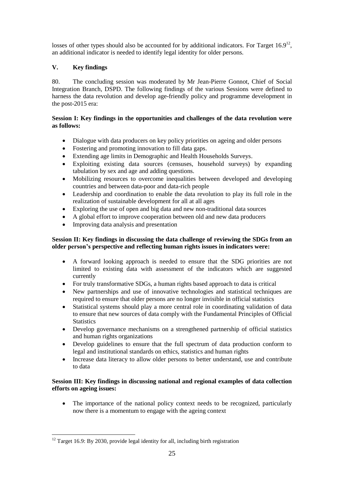losses of other types should also be accounted for by additional indicators. For Target  $16.9^{12}$ , an additional indicator is needed to identify legal identity for older persons.

## **V. Key findings**

80. The concluding session was moderated by Mr Jean-Pierre Gonnot, Chief of Social Integration Branch, DSPD. The following findings of the various Sessions were defined to harness the data revolution and develop age-friendly policy and programme development in the post-2015 era:

## **Session I: Key findings in the opportunities and challenges of the data revolution were as follows:**

- Dialogue with data producers on key policy priorities on ageing and older persons
- Fostering and promoting innovation to fill data gaps.
- Extending age limits in Demographic and Health Households Surveys.
- Exploiting existing data sources (censuses, household surveys) by expanding tabulation by sex and age and adding questions.
- Mobilizing resources to overcome inequalities between developed and developing countries and between data-poor and data-rich people
- Leadership and coordination to enable the data revolution to play its full role in the realization of sustainable development for all at all ages
- Exploring the use of open and big data and new non-traditional data sources
- A global effort to improve cooperation between old and new data producers
- Improving data analysis and presentation

## **Session II: Key findings in discussing the data challenge of reviewing the SDGs from an older person's perspective and reflecting human rights issues in indicators were:**

- A forward looking approach is needed to ensure that the SDG priorities are not limited to existing data with assessment of the indicators which are suggested currently
- For truly transformative SDGs, a human rights based approach to data is critical
- New partnerships and use of innovative technologies and statistical techniques are required to ensure that older persons are no longer invisible in official statistics
- Statistical systems should play a more central role in coordinating validation of data to ensure that new sources of data comply with the Fundamental Principles of Official **Statistics**
- Develop governance mechanisms on a strengthened partnership of official statistics and human rights organizations
- Develop guidelines to ensure that the full spectrum of data production conform to legal and institutional standards on ethics, statistics and human rights
- Increase data literacy to allow older persons to better understand, use and contribute to data

## **Session III: Key findings in discussing national and regional examples of data collection efforts on ageing issues:**

 The importance of the national policy context needs to be recognized, particularly now there is a momentum to engage with the ageing context

1

<sup>&</sup>lt;sup>12</sup> Target 16.9: By 2030, provide legal identity for all, including birth registration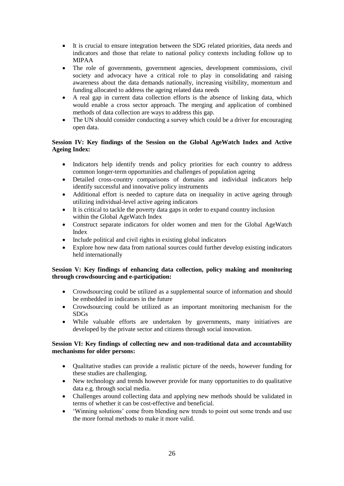- It is crucial to ensure integration between the SDG related priorities, data needs and indicators and those that relate to national policy contexts including follow up to MIPAA
- The role of governments, government agencies, development commissions, civil society and advocacy have a critical role to play in consolidating and raising awareness about the data demands nationally, increasing visibility, momentum and funding allocated to address the ageing related data needs
- A real gap in current data collection efforts is the absence of linking data, which would enable a cross sector approach. The merging and application of combined methods of data collection are ways to address this gap.
- The UN should consider conducting a survey which could be a driver for encouraging open data.

## **Session IV: Key findings of the Session on the Global AgeWatch Index and Active Ageing Index:**

- Indicators help identify trends and policy priorities for each country to address common longer-term opportunities and challenges of population ageing
- Detailed cross-country comparisons of domains and individual indicators help identify successful and innovative policy instruments
- Additional effort is needed to capture data on inequality in active ageing through utilizing individual-level active ageing indicators
- It is critical to tackle the poverty data gaps in order to expand country inclusion within the Global AgeWatch Index
- Construct separate indicators for older women and men for the Global AgeWatch Index
- Include political and civil rights in existing global indicators
- Explore how new data from national sources could further develop existing indicators held internationally

## **Session V: Key findings of enhancing data collection, policy making and monitoring through crowdsourcing and e-participation:**

- Crowdsourcing could be utilized as a supplemental source of information and should be embedded in indicators in the future
- Crowdsourcing could be utilized as an important monitoring mechanism for the SDGs
- While valuable efforts are undertaken by governments, many initiatives are developed by the private sector and citizens through social innovation.

## **Session VI: Key findings of collecting new and non-traditional data and accountability mechanisms for older persons:**

- Qualitative studies can provide a realistic picture of the needs, however funding for these studies are challenging.
- New technology and trends however provide for many opportunities to do qualitative data e.g. through social media.
- Challenges around collecting data and applying new methods should be validated in terms of whether it can be cost-effective and beneficial.
- 'Winning solutions' come from blending new trends to point out some trends and use the more formal methods to make it more valid.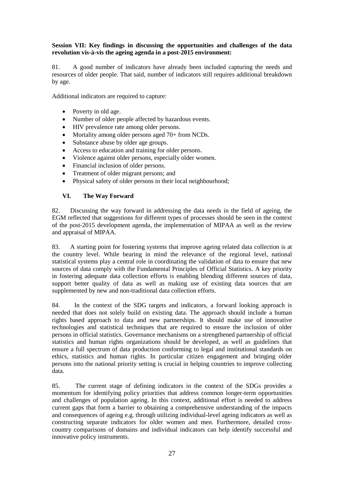## **Session VII: Key findings in discussing the opportunities and challenges of the data revolution vis-à-vis the ageing agenda in a post-2015 environment:**

81. A good number of indicators have already been included capturing the needs and resources of older people. That said, number of indicators still requires additional breakdown by age.

Additional indicators are required to capture:

- Poverty in old age.
- Number of older people affected by hazardous events.
- HIV prevalence rate among older persons.
- Mortality among older persons aged 70+ from NCDs.
- Substance abuse by older age groups.
- Access to education and training for older persons.
- Violence against older persons, especially older women.
- Financial inclusion of older persons.
- Treatment of older migrant persons; and
- Physical safety of older persons in their local neighbourhood;

## **VI. The Way Forward**

82. Discussing the way forward in addressing the data needs in the field of ageing, the EGM reflected that suggestions for different types of processes should be seen in the context of the post-2015 development agenda, the implementation of MIPAA as well as the review and appraisal of MIPAA.

83. A starting point for fostering systems that improve ageing related data collection is at the country level. While bearing in mind the relevance of the regional level, national statistical systems play a central role in coordinating the validation of data to ensure that new sources of data comply with the Fundamental Principles of Official Statistics. A key priority in fostering adequate data collection efforts is enabling blending different sources of data, support better quality of data as well as making use of existing data sources that are supplemented by new and non-traditional data collection efforts.

84. In the context of the SDG targets and indicators, a forward looking approach is needed that does not solely build on existing data. The approach should include a human rights based approach to data and new partnerships. It should make use of innovative technologies and statistical techniques that are required to ensure the inclusion of older persons in official statistics. Governance mechanisms on a strengthened partnership of official statistics and human rights organizations should be developed, as well as guidelines that ensure a full spectrum of data production conforming to legal and institutional standards on ethics, statistics and human rights. In particular citizen engagement and bringing older persons into the national priority setting is crucial in helping countries to improve collecting data.

85. The current stage of defining indicators in the context of the SDGs provides a momentum for identifying policy priorities that address common longer-term opportunities and challenges of population ageing. In this context, additional effort is needed to address current gaps that form a barrier to obtaining a comprehensive understanding of the impacts and consequences of ageing e.g. through utilizing individual-level ageing indicators as well as constructing separate indicators for older women and men. Furthermore, detailed crosscountry comparisons of domains and individual indicators can help identify successful and innovative policy instruments.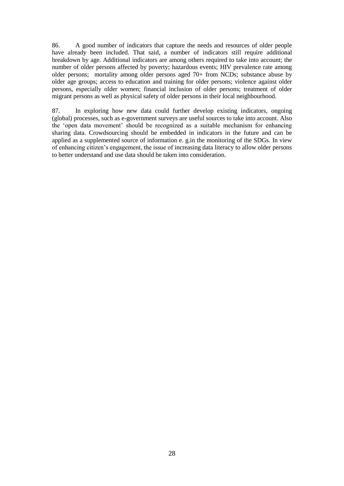86. A good number of indicators that capture the needs and resources of older people have already been included. That said, a number of indicators still require additional breakdown by age. Additional indicators are among others required to take into account; the number of older persons affected by poverty; hazardous events; HIV prevalence rate among older persons; mortality among older persons aged 70+ from NCDs; substance abuse by older age groups; access to education and training for older persons; violence against older persons, especially older women; financial inclusion of older persons; treatment of older migrant persons as well as physical safety of older persons in their local neighbourhood.

87. In exploring how new data could further develop existing indicators, ongoing (global) processes, such as e-government surveys are useful sources to take into account. Also the 'open data movement' should be recognized as a suitable mechanism for enhancing sharing data. Crowdsourcing should be embedded in indicators in the future and can be applied as a supplemented source of information e. g.in the monitoring of the SDGs. In view of enhancing citizen's engagement, the issue of increasing data literacy to allow older persons to better understand and use data should be taken into consideration.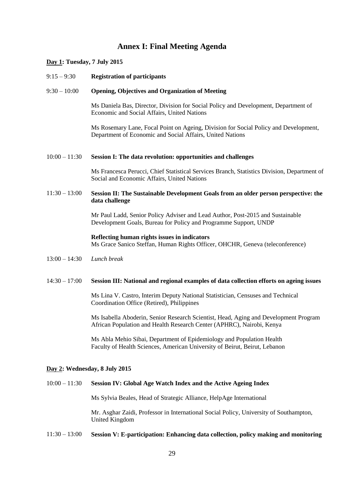## **Annex I: Final Meeting Agenda**

#### **Day 1: Tuesday, 7 July 2015**

| $9:15-9:30$ | <b>Registration of participants</b> |  |
|-------------|-------------------------------------|--|
|-------------|-------------------------------------|--|

#### 9:30 – 10:00 **Opening, Objectives and Organization of Meeting**

Ms Daniela Bas, Director, Division for Social Policy and Development, Department of Economic and Social Affairs, United Nations

Ms Rosemary Lane, Focal Point on Ageing, Division for Social Policy and Development, Department of Economic and Social Affairs, United Nations

#### 10:00 – 11:30 **Session I: The data revolution: opportunities and challenges**

Ms Francesca Perucci, Chief Statistical Services Branch, Statistics Division, Department of Social and Economic Affairs, United Nations

## 11:30 – 13:00 **Session II: The Sustainable Development Goals from an older person perspective: the data challenge**

Mr Paul Ladd, Senior Policy Adviser and Lead Author, Post-2015 and Sustainable Development Goals, Bureau for Policy and Programme Support, UNDP

#### **Reflecting human rights issues in indicators**

Ms Grace Sanico Steffan, Human Rights Officer, OHCHR, Geneva (teleconference)

13:00 – 14:30 *Lunch break*

#### 14:30 – 17:00 **Session III: National and regional examples of data collection efforts on ageing issues**

Ms Lina V. Castro, Interim Deputy National Statistician, Censuses and Technical Coordination Office (Retired), Philippines

Ms Isabella Aboderin, Senior Research Scientist, Head, Aging and Development Program African Population and Health Research Center (APHRC), Nairobi, Kenya

Ms Abla Mehio Sibai, Department of Epidemiology and Population Health Faculty of Health Sciences, American University of Beirut, Beirut, Lebanon

#### **Day 2: Wednesday, 8 July 2015**

## 10:00 – 11:30 **Session IV: Global Age Watch Index and the Active Ageing Index**

Ms Sylvia Beales, Head of Strategic Alliance, HelpAge International

Mr. Asghar Zaidi, Professor in International Social Policy, University of Southampton, United Kingdom

#### 11:30 – 13:00 **Session V: E-participation: Enhancing data collection, policy making and monitoring**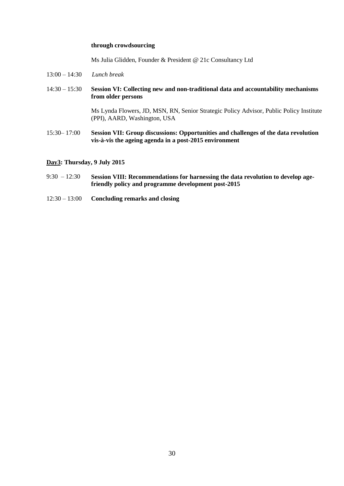#### **through crowdsourcing**

Ms Julia Glidden, Founder & President @ 21c Consultancy Ltd

- 13:00 14:30 *Lunch break*
- 14:30 15:30 **Session VI: Collecting new and non-traditional data and accountability mechanisms from older persons**

Ms Lynda Flowers, JD, MSN, RN, Senior Strategic Policy Advisor, Public Policy Institute (PPI), AARD, Washington, USA

15:30– 17:00 **Session VII: Group discussions: Opportunities and challenges of the data revolution vis-à-vis the ageing agenda in a post-2015 environment**

## **Day3: Thursday, 9 July 2015**

- 9:30 12:30 **Session VIII: Recommendations for harnessing the data revolution to develop agefriendly policy and programme development post-2015**
- 12:30 13:00 **Concluding remarks and closing**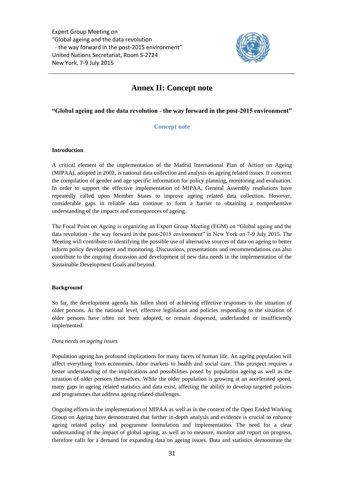Expert Group Meeting on "Global ageing and the data revolution - the way forward in the post-2015 environment" United Nations Secretariat, Room S-2724 New York, 7-9 July 2015



# **Annex II: Concept note**

### **"Global ageing and the data revolution - the way forward in the post-2015 environment"**

## **Concept note**

#### **Introduction**

A critical element of the implementation of the Madrid International Plan of Action on Ageing (MIPAA), adopted in 2002, is national data collection and analysis on ageing related issues. It concerns the compilation of gender and age specific information for policy planning, monitoring and evaluation. In order to support the effective implementation of MIPAA, General Assembly resolutions have repeatedly called upon Member States to improve ageing related data collection. However, considerable gaps in reliable data continue to form a barrier to obtaining a comprehensive understanding of the impacts and consequences of ageing.

The Focal Point on Ageing is organizing an Expert Group Meeting (EGM) on "Global ageing and the data revolution - the way forward in the post-2015 environment" in New York on 7-9 July 2015. The Meeting will contribute to identifying the possible use of alternative sources of data on ageing to better inform policy development and monitoring. Discussions, presentations and recommendations can also contribute to the ongoing discussion and development of new data needs in the implementation of the Sustainable Development Goals and beyond.

### **Background**

So far, the development agenda has fallen short of achieving effective responses to the situation of older persons. At the national level, effective legislation and policies responding to the situation of older persons have often not been adopted, or remain dispersed, underfunded or insufficiently implemented.

#### *Data needs on ageing issues*

Population ageing has profound implications for many facets of human life. An ageing population will affect everything from economies, labor markets to health and social care. This prospect requires a better understanding of the implications and possibilities posed by population ageing as well as the situation of older persons themselves. While the older population is growing at an accelerated speed, many gaps in ageing related statistics and data exist, affecting the ability to develop targeted policies and programmes that address ageing related challenges.

Ongoing efforts in the implementation of MIPAA as well as in the context of the Open Ended Working Group on Ageing have demonstrated that further in-depth analysis and evidence is crucial to enhance ageing related policy and programme formulation and implementation. The need for a clear understanding of the impact of global ageing, as well as to measure, monitor and report on progress, therefore calls for a demand for expanding data on ageing issues. Data and statistics demonstrate the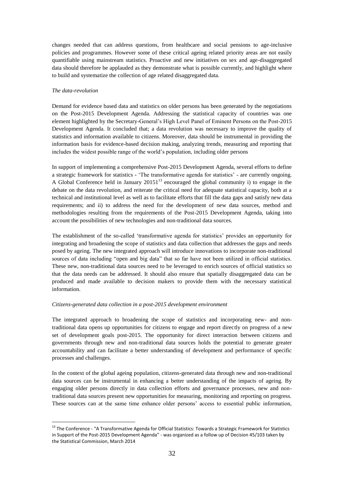changes needed that can address questions, from healthcare and social pensions to age-inclusive policies and programmes. However some of these critical ageing related priority areas are not easily quantifiable using mainstream statistics. Proactive and new initiatives on sex and age-disaggregated data should therefore be applauded as they demonstrate what is possible currently, and highlight where to build and systematize the collection of age related disaggregated data.

#### *The data-revolution*

1

Demand for evidence based data and statistics on older persons has been generated by the negotiations on the Post-2015 Development Agenda. Addressing the statistical capacity of countries was one element highlighted by the Secretary-General's High Level Panel of Eminent Persons on the Post-2015 Development Agenda. It concluded that; a data revolution was necessary to improve the quality of statistics and information available to citizens. Moreover, data should be instrumental in providing the information basis for evidence-based decision making, analyzing trends, measuring and reporting that includes the widest possible range of the world's population, including older persons

In support of implementing a comprehensive Post-2015 Development Agenda, several efforts to define a strategic framework for statistics - 'The transformative agenda for statistics' - are currently ongoing. A Global Conference held in January  $20151<sup>13</sup>$  encouraged the global community i) to engage in the debate on the data revolution, and reiterate the critical need for adequate statistical capacity, both at a technical and institutional level as well as to facilitate efforts that fill the data gaps and satisfy new data requirements; and ii) to address the need for the development of new data sources, method and methodologies resulting from the requirements of the Post-2015 Development Agenda, taking into account the possibilities of new technologies and non-traditional data sources.

The establishment of the so-called 'transformative agenda for statistics' provides an opportunity for integrating and broadening the scope of statistics and data collection that addresses the gaps and needs posed by ageing. The new integrated approach will introduce innovations to incorporate non-traditional sources of data including "open and big data" that so far have not been utilized in official statistics. These new, non-traditional data sources need to be leveraged to enrich sources of official statistics so that the data needs can be addressed. It should also ensure that spatially disaggregated data can be produced and made available to decision makers to provide them with the necessary statistical information.

#### *Citizens-generated data collection in a post-2015 development environment*

The integrated approach to broadening the scope of statistics and incorporating new- and nontraditional data opens up opportunities for citizens to engage and report directly on progress of a new set of development goals post-2015. The opportunity for direct interaction between citizens and governments through new and non-traditional data sources holds the potential to generate greater accountability and can facilitate a better understanding of development and performance of specific processes and challenges.

In the context of the global ageing population, citizens-generated data through new and non-traditional data sources can be instrumental in enhancing a better understanding of the impacts of ageing. By engaging older persons directly in data collection efforts and governance processes, new and nontraditional data sources present new opportunities for measuring, monitoring and reporting on progress. These sources can at the same time enhance older persons' access to essential public information,

<sup>&</sup>lt;sup>13</sup> The Conference - "A Transformative Agenda for Official Statistics: Towards a Strategic Framework for Statistics in Support of the Post-2015 Development Agenda" - was organized as a follow up of Decision 45/103 taken by the Statistical Commission, March 2014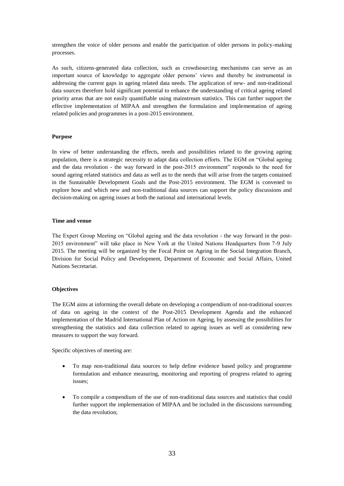strengthen the voice of older persons and enable the participation of older persons in policy-making processes.

As such, citizens-generated data collection, such as crowdsourcing mechanisms can serve as an important source of knowledge to aggregate older persons' views and thereby be instrumental in addressing the current gaps in ageing related data needs. The application of new- and non-traditional data sources therefore hold significant potential to enhance the understanding of critical ageing related priority areas that are not easily quantifiable using mainstream statistics. This can further support the effective implementation of MIPAA and strengthen the formulation and implementation of ageing related policies and programmes in a post-2015 environment.

#### **Purpose**

In view of better understanding the effects, needs and possibilities related to the growing ageing population, there is a strategic necessity to adapt data collection efforts. The EGM on "Global ageing and the data revolution - the way forward in the post-2015 environment" responds to the need for sound ageing related statistics and data as well as to the needs that will arise from the targets contained in the Sustainable Development Goals and the Post-2015 environment. The EGM is convened to explore how and which new and non-traditional data sources can support the policy discussions and decision-making on ageing issues at both the national and international levels.

#### **Time and venue**

The Expert Group Meeting on "Global ageing and the data revolution - the way forward in the post-2015 environment" will take place in New York at the United Nations Headquarters from 7-9 July 2015. The meeting will be organized by the Focal Point on Ageing in the Social Integration Branch, Division for Social Policy and Development, Department of Economic and Social Affairs, United Nations Secretariat.

#### **Objectives**

The EGM aims at informing the overall debate on developing a compendium of non-traditional sources of data on ageing in the context of the Post-2015 Development Agenda and the enhanced implementation of the Madrid International Plan of Action on Ageing, by assessing the possibilities for strengthening the statistics and data collection related to ageing issues as well as considering new measures to support the way forward.

Specific objectives of meeting are:

- To map non-traditional data sources to help define evidence based policy and programme formulation and enhance measuring, monitoring and reporting of progress related to ageing issues;
- To compile a compendium of the use of non-traditional data sources and statistics that could further support the implementation of MIPAA and be included in the discussions surrounding the data revolution;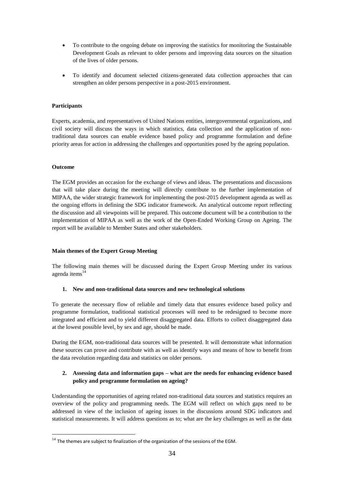- To contribute to the ongoing debate on improving the statistics for monitoring the Sustainable Development Goals as relevant to older persons and improving data sources on the situation of the lives of older persons.
- To identify and document selected citizens-generated data collection approaches that can strengthen an older persons perspective in a post-2015 environment.

#### **Participants**

Experts, academia, and representatives of United Nations entities, intergovernmental organizations, and civil society will discuss the ways in which statistics, data collection and the application of nontraditional data sources can enable evidence based policy and programme formulation and define priority areas for action in addressing the challenges and opportunities posed by the ageing population.

#### **Outcome**

<u>.</u>

The EGM provides an occasion for the exchange of views and ideas. The presentations and discussions that will take place during the meeting will directly contribute to the further implementation of MIPAA, the wider strategic framework for implementing the post-2015 development agenda as well as the ongoing efforts in defining the SDG indicator framework. An analytical outcome report reflecting the discussion and all viewpoints will be prepared. This outcome document will be a contribution to the implementation of MIPAA as well as the work of the Open-Ended Working Group on Ageing. The report will be available to Member States and other stakeholders.

#### **Main themes of the Expert Group Meeting**

The following main themes will be discussed during the Expert Group Meeting under its various agenda items $14$ 

#### **1. New and non-traditional data sources and new technological solutions**

To generate the necessary flow of reliable and timely data that ensures evidence based policy and programme formulation, traditional statistical processes will need to be redesigned to become more integrated and efficient and to yield different disaggregated data. Efforts to collect disaggregated data at the lowest possible level, by sex and age, should be made.

During the EGM, non-traditional data sources will be presented. It will demonstrate what information these sources can prove and contribute with as well as identify ways and means of how to benefit from the data revolution regarding data and statistics on older persons.

### **2. Assessing data and information gaps – what are the needs for enhancing evidence based policy and programme formulation on ageing?**

Understanding the opportunities of ageing related non-traditional data sources and statistics requires an overview of the policy and programming needs. The EGM will reflect on which gaps need to be addressed in view of the inclusion of ageing issues in the discussions around SDG indicators and statistical measurements. It will address questions as to; what are the key challenges as well as the data

 $14$  The themes are subject to finalization of the organization of the sessions of the EGM.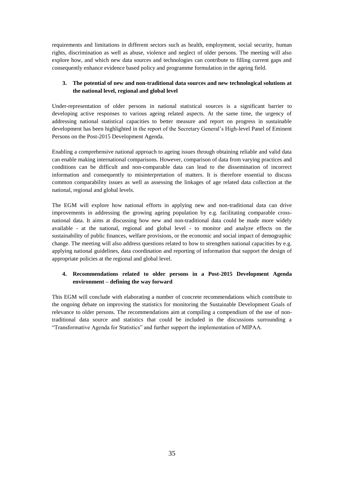requirements and limitations in different sectors such as health, employment, social security, human rights, discrimination as well as abuse, violence and neglect of older persons. The meeting will also explore how, and which new data sources and technologies can contribute to filling current gaps and consequently enhance evidence based policy and programme formulation in the ageing field.

## **3. The potential of new and non-traditional data sources and new technological solutions at the national level, regional and global level**

Under-representation of older persons in national statistical sources is a significant barrier to developing active responses to various ageing related aspects. At the same time, the urgency of addressing national statistical capacities to better measure and report on progress in sustainable development has been highlighted in the report of the Secretary General's High-level Panel of Eminent Persons on the Post-2015 Development Agenda.

Enabling a comprehensive national approach to ageing issues through obtaining reliable and valid data can enable making international comparisons. However, comparison of data from varying practices and conditions can be difficult and non-comparable data can lead to the dissemination of incorrect information and consequently to misinterpretation of matters. It is therefore essential to discuss common comparability issues as well as assessing the linkages of age related data collection at the national, regional and global levels.

The EGM will explore how national efforts in applying new and non-traditional data can drive improvements in addressing the growing ageing population by e.g. facilitating comparable crossnational data. It aims at discussing how new and non-traditional data could be made more widely available - at the national, regional and global level - to monitor and analyze effects on the sustainability of public finances, welfare provisions, or the economic and social impact of demographic change. The meeting will also address questions related to how to strengthen national capacities by e.g. applying national guidelines, data coordination and reporting of information that support the design of appropriate policies at the regional and global level.

### **4. Recommendations related to older persons in a Post-2015 Development Agenda environment – defining the way forward**

This EGM will conclude with elaborating a number of concrete recommendations which contribute to the ongoing debate on improving the statistics for monitoring the Sustainable Development Goals of relevance to older persons. The recommendations aim at compiling a compendium of the use of nontraditional data source and statistics that could be included in the discussions surrounding a "Transformative Agenda for Statistics" and further support the implementation of MIPAA.